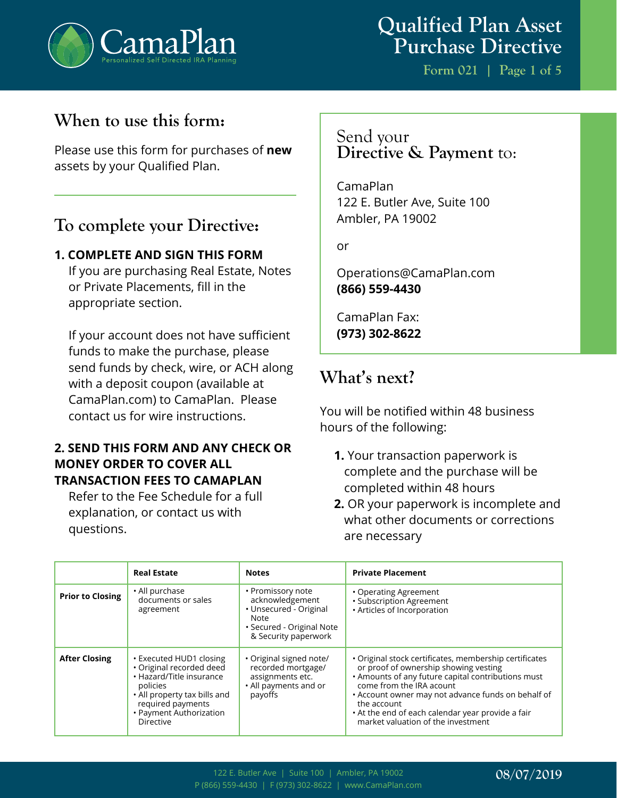

**Form 021 | Page 1 of 5**

## **When to use this form:**

Please use this form for purchases of **new** assets by your Qualified Plan.

## **To complete your Directive:**

### **1. COMPLETE AND SIGN THIS FORM**

If you are purchasing Real Estate, Notes or Private Placements, fill in the appropriate section.

If your account does not have sufficient funds to make the purchase, please send funds by check, wire, or ACH along with a deposit coupon (available at CamaPlan.com) to CamaPlan. Please contact us for wire instructions.

### **2. SEND THIS FORM AND ANY CHECK OR MONEY ORDER TO COVER ALL TRANSACTION FEES TO CAMAPLAN**

Refer to the Fee Schedule for a full explanation, or contact us with questions.

### Send your **Directive & Payment** to:

CamaPlan 122 E. Butler Ave, Suite 100 Ambler, PA 19002

or

Operations@CamaPlan.com **(866) 559-4430**

CamaPlan Fax: **(973) 302-8622**

# **What's next?**

You will be notified within 48 business hours of the following:

- **1.** Your transaction paperwork is complete and the purchase will be completed within 48 hours
- **2.** OR your paperwork is incomplete and what other documents or corrections are necessary

|                         | <b>Real Estate</b>                                                                                                                                                                       | <b>Notes</b>                                                                                                                       | <b>Private Placement</b>                                                                                                                                                                                                                                                                                                                          |
|-------------------------|------------------------------------------------------------------------------------------------------------------------------------------------------------------------------------------|------------------------------------------------------------------------------------------------------------------------------------|---------------------------------------------------------------------------------------------------------------------------------------------------------------------------------------------------------------------------------------------------------------------------------------------------------------------------------------------------|
| <b>Prior to Closing</b> | • All purchase<br>documents or sales<br>agreement                                                                                                                                        | • Promissory note<br>acknowledgement<br>• Unsecured - Original<br><b>Note</b><br>• Secured - Original Note<br>& Security paperwork | • Operating Agreement<br>• Subscription Agreement<br>· Articles of Incorporation                                                                                                                                                                                                                                                                  |
| <b>After Closing</b>    | • Executed HUD1 closing<br>· Original recorded deed<br>• Hazard/Title insurance<br>policies<br>• All property tax bills and<br>required payments<br>• Payment Authorization<br>Directive | · Original signed note/<br>recorded mortgage/<br>assignments etc.<br>• All payments and or<br>payoffs                              | • Original stock certificates, membership certificates<br>or proof of ownership showing vesting<br>. Amounts of any future capital contributions must<br>come from the IRA acount<br>• Account owner may not advance funds on behalf of<br>the account<br>• At the end of each calendar year provide a fair<br>market valuation of the investment |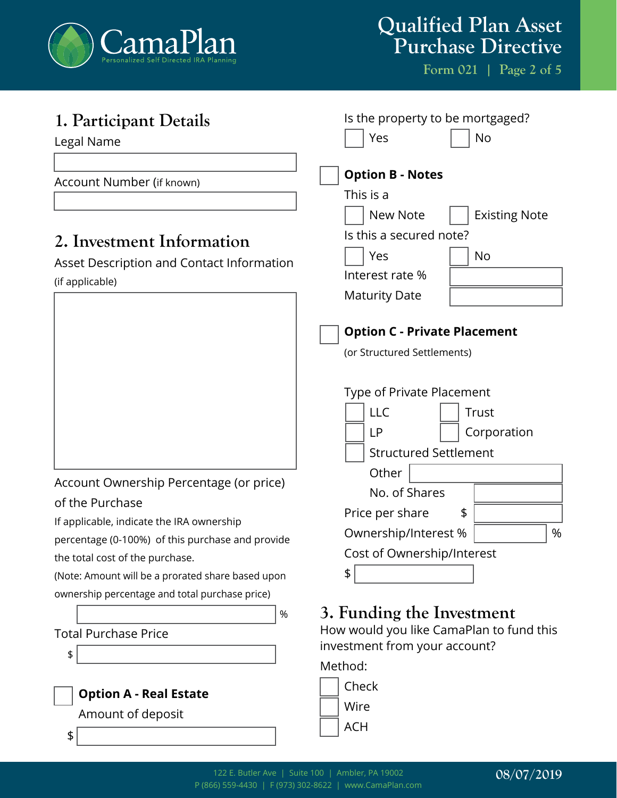

**Form 021 | Page 2 of 5**

| Is the property to be mortgaged?<br>Yes<br>No                                                                                                                                                                                    |
|----------------------------------------------------------------------------------------------------------------------------------------------------------------------------------------------------------------------------------|
| <b>Option B - Notes</b><br>This is a<br><b>Existing Note</b><br><b>New Note</b>                                                                                                                                                  |
| Is this a secured note?<br>Yes<br><b>No</b><br>Interest rate %<br><b>Maturity Date</b>                                                                                                                                           |
| <b>Option C - Private Placement</b><br>(or Structured Settlements)                                                                                                                                                               |
| Type of Private Placement<br><b>LLC</b><br>Trust<br><b>LP</b><br>Corporation<br><b>Structured Settlement</b><br>Other<br>No. of Shares<br>Price per share<br>\$<br>%<br>Ownership/Interest %<br>Cost of Ownership/Interest<br>\$ |
| 3. Funding the Investment<br>How would you like CamaPlan to fund this<br>investment from your account?<br>Method:<br>Check<br>Wire<br><b>ACH</b>                                                                                 |
|                                                                                                                                                                                                                                  |

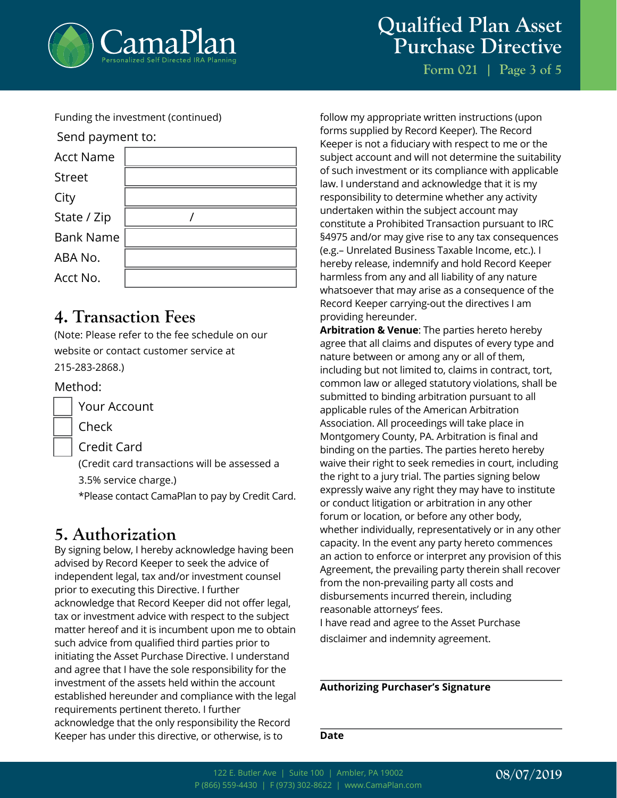

# **Qualified Plan Asset Purchase Directive**

**Form 021 | Page 3 of 5**

Funding the investment (continued)



## **4. Transaction Fees**

(Note: Please refer to the fee schedule on our website or contact customer service at 215-283-2868.)

#### Method:

Your Account

Check

Credit Card

(Credit card transactions will be assessed a 3.5% service charge.) \*Please contact CamaPlan to pay by Credit Card.

## **5. Authorization**

By signing below, I hereby acknowledge having been advised by Record Keeper to seek the advice of independent legal, tax and/or investment counsel prior to executing this Directive. I further acknowledge that Record Keeper did not offer legal, tax or investment advice with respect to the subject matter hereof and it is incumbent upon me to obtain such advice from qualified third parties prior to initiating the Asset Purchase Directive. I understand and agree that I have the sole responsibility for the investment of the assets held within the account established hereunder and compliance with the legal requirements pertinent thereto. I further acknowledge that the only responsibility the Record Keeper has under this directive, or otherwise, is to

follow my appropriate written instructions (upon forms supplied by Record Keeper). The Record Keeper is not a fiduciary with respect to me or the subject account and will not determine the suitability of such investment or its compliance with applicable law. I understand and acknowledge that it is my responsibility to determine whether any activity undertaken within the subject account may constitute a Prohibited Transaction pursuant to IRC §4975 and/or may give rise to any tax consequences (e.g.– Unrelated Business Taxable Income, etc.). I hereby release, indemnify and hold Record Keeper harmless from any and all liability of any nature whatsoever that may arise as a consequence of the Record Keeper carrying-out the directives I am providing hereunder.

**Arbitration & Venue**: The parties hereto hereby agree that all claims and disputes of every type and nature between or among any or all of them, including but not limited to, claims in contract, tort, common law or alleged statutory violations, shall be submitted to binding arbitration pursuant to all applicable rules of the American Arbitration Association. All proceedings will take place in Montgomery County, PA. Arbitration is final and binding on the parties. The parties hereto hereby waive their right to seek remedies in court, including the right to a jury trial. The parties signing below expressly waive any right they may have to institute or conduct litigation or arbitration in any other forum or location, or before any other body, whether individually, representatively or in any other capacity. In the event any party hereto commences an action to enforce or interpret any provision of this Agreement, the prevailing party therein shall recover from the non-prevailing party all costs and disbursements incurred therein, including reasonable attorneys' fees. I have read and agree to the Asset Purchase

disclaimer and indemnity agreement.

**Authorizing Purchaser's Signature**

**Date**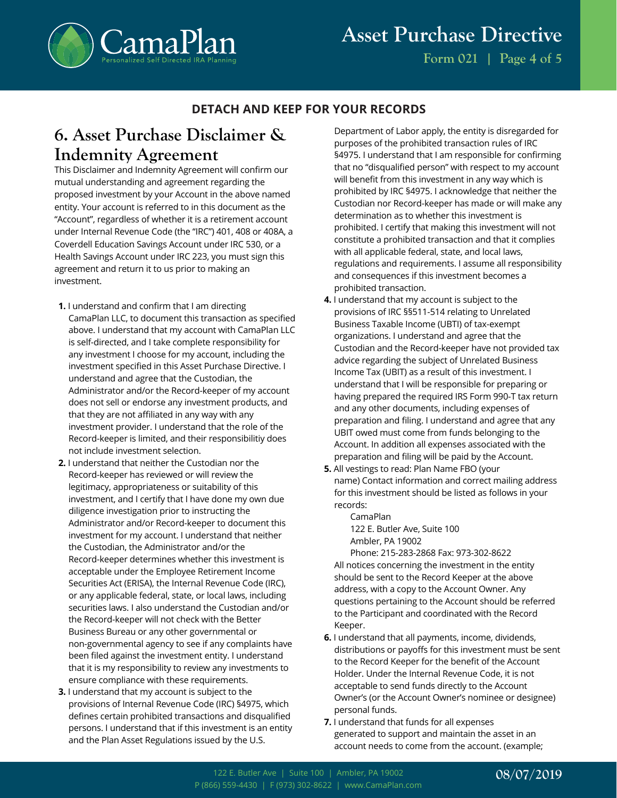

### **DETACH AND KEEP FOR YOUR RECORDS**

## **6. Asset Purchase Disclaimer & Indemnity Agreement**

This Disclaimer and Indemnity Agreement will confirm our mutual understanding and agreement regarding the proposed investment by your Account in the above named entity. Your account is referred to in this document as the "Account", regardless of whether it is a retirement account under Internal Revenue Code (the "IRC") 401, 408 or 408A, a Coverdell Education Savings Account under IRC 530, or a Health Savings Account under IRC 223, you must sign this agreement and return it to us prior to making an investment.

- **1.** I understand and confirm that I am directing CamaPlan LLC, to document this transaction as specified above. I understand that my account with CamaPlan LLC is self-directed, and I take complete responsibility for any investment I choose for my account, including the investment specified in this Asset Purchase Directive. I understand and agree that the Custodian, the Administrator and/or the Record-keeper of my account does not sell or endorse any investment products, and that they are not affiliated in any way with any investment provider. I understand that the role of the Record-keeper is limited, and their responsibilitiy does not include investment selection.
- **2.** I understand that neither the Custodian nor the Record-keeper has reviewed or will review the legitimacy, appropriateness or suitability of this investment, and I certify that I have done my own due diligence investigation prior to instructing the Administrator and/or Record-keeper to document this investment for my account. I understand that neither the Custodian, the Administrator and/or the Record-keeper determines whether this investment is acceptable under the Employee Retirement Income Securities Act (ERISA), the Internal Revenue Code (IRC), or any applicable federal, state, or local laws, including securities laws. I also understand the Custodian and/or the Record-keeper will not check with the Better Business Bureau or any other governmental or non-governmental agency to see if any complaints have been filed against the investment entity. I understand that it is my responsibility to review any investments to ensure compliance with these requirements.
- **3.** I understand that my account is subject to the provisions of Internal Revenue Code (IRC) §4975, which defines certain prohibited transactions and disqualified persons. I understand that if this investment is an entity and the Plan Asset Regulations issued by the U.S.

Department of Labor apply, the entity is disregarded for purposes of the prohibited transaction rules of IRC §4975. I understand that I am responsible for confirming that no "disqualified person" with respect to my account will benefit from this investment in any way which is prohibited by IRC §4975. I acknowledge that neither the Custodian nor Record-keeper has made or will make any determination as to whether this investment is prohibited. I certify that making this investment will not constitute a prohibited transaction and that it complies with all applicable federal, state, and local laws, regulations and requirements. I assume all responsibility and consequences if this investment becomes a prohibited transaction.

- **4.** I understand that my account is subject to the provisions of IRC §§511-514 relating to Unrelated Business Taxable Income (UBTI) of tax-exempt organizations. I understand and agree that the Custodian and the Record-keeper have not provided tax advice regarding the subject of Unrelated Business Income Tax (UBIT) as a result of this investment. I understand that I will be responsible for preparing or having prepared the required IRS Form 990-T tax return and any other documents, including expenses of preparation and filing. I understand and agree that any UBIT owed must come from funds belonging to the Account. In addition all expenses associated with the preparation and filing will be paid by the Account.
- **5.** All vestings to read: Plan Name FBO (your name) Contact information and correct mailing address for this investment should be listed as follows in your records:

CamaPlan 122 E. Butler Ave, Suite 100 Ambler, PA 19002

Phone: 215-283-2868 Fax: 973-302-8622 All notices concerning the investment in the entity should be sent to the Record Keeper at the above address, with a copy to the Account Owner. Any questions pertaining to the Account should be referred to the Participant and coordinated with the Record Keeper.

- **6.** I understand that all payments, income, dividends, distributions or payoffs for this investment must be sent to the Record Keeper for the benefit of the Account Holder. Under the Internal Revenue Code, it is not acceptable to send funds directly to the Account Owner's (or the Account Owner's nominee or designee) personal funds.
- **7.** I understand that funds for all expenses generated to support and maintain the asset in an account needs to come from the account. (example;